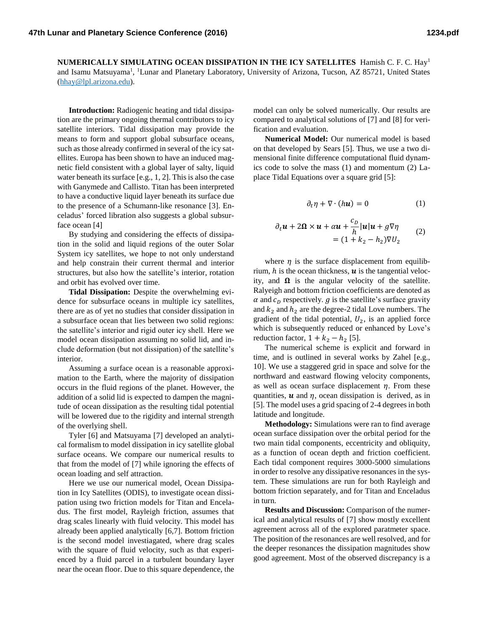**NUMERICALLY SIMULATING OCEAN DISSIPATION IN THE ICY SATELLITES** Hamish C. F. C. Hay<sup>1</sup> and Isamu Matsuyama<sup>1</sup>, <sup>1</sup>Lunar and Planetary Laboratory, University of Arizona, Tucson, AZ 85721, United States [\(hhay@lpl.arizona.edu\)](mailto:hhay@lpl.arizona.edu).

**Introduction:** Radiogenic heating and tidal dissipation are the primary ongoing thermal contributors to icy satellite interiors. Tidal dissipation may provide the means to form and support global subsurface oceans, such as those already confirmed in several of the icy satellites. Europa has been shown to have an induced magnetic field consistent with a global layer of salty, liquid water beneath its surface [e.g., 1, 2]. This is also the case with Ganymede and Callisto. Titan has been interpreted to have a conductive liquid layer beneath its surface due to the presence of a Schumann-like resonance [3]. Enceladus' forced libration also suggests a global subsurface ocean [4]

By studying and considering the effects of dissipation in the solid and liquid regions of the outer Solar System icy satellites, we hope to not only understand and help constrain their current thermal and interior structures, but also how the satellite's interior, rotation and orbit has evolved over time.

**Tidal Dissipation:** Despite the overwhelming evidence for subsurface oceans in multiple icy satellites, there are as of yet no studies that consider dissipation in a subsurface ocean that lies between two solid regions: the satellite's interior and rigid outer icy shell. Here we model ocean dissipation assuming no solid lid, and include deformation (but not dissipation) of the satellite's interior.

Assuming a surface ocean is a reasonable approximation to the Earth, where the majority of dissipation occurs in the fluid regions of the planet. However, the addition of a solid lid is expected to dampen the magnitude of ocean dissipation as the resulting tidal potential will be lowered due to the rigidity and internal strength of the overlying shell.

Tyler [6] and Matsuyama [7] developed an analytical formalism to model dissipation in icy satellite global surface oceans. We compare our numerical results to that from the model of [7] while ignoring the effects of ocean loading and self attraction.

Here we use our numerical model, Ocean Dissipation in Icy Satellites (ODIS), to investigate ocean dissipation using two friction models for Titan and Enceladus. The first model, Rayleigh friction, assumes that drag scales linearly with fluid velocity. This model has already been applied analytically [6,7]. Bottom friction is the second model investiagated, where drag scales with the square of fluid velocity, such as that experienced by a fluid parcel in a turbulent boundary layer near the ocean floor. Due to this square dependence, the

model can only be solved numerically. Our results are compared to analytical solutions of [7] and [8] for verification and evaluation.

**Numerical Model:** Our numerical model is based on that developed by Sears [5]. Thus, we use a two dimensional finite difference computational fluid dynamics code to solve the mass (1) and momentum (2) Laplace Tidal Equations over a square grid [5]:

$$
\partial_t \eta + \nabla \cdot (h\mathbf{u}) = 0 \tag{1}
$$

$$
\partial_t \mathbf{u} + 2\mathbf{\Omega} \times \mathbf{u} + \alpha \mathbf{u} + \frac{c_D}{h} |\mathbf{u}| \mathbf{u} + g \nabla \eta
$$
  
=  $(1 + k_2 - h_2) \nabla U_2$  (2)

where  $\eta$  is the surface displacement from equilibrium,  $h$  is the ocean thickness,  $\boldsymbol{u}$  is the tangential velocity, and  $\Omega$  is the angular velocity of the satellite. Ralyeigh and bottom friction coefficients are denoted as  $\alpha$  and  $c<sub>D</sub>$  respectively.  $g$  is the satellite's surface gravity and  $k_2$  and  $h_2$  are the degree-2 tidal Love numbers. The gradient of the tidal potential,  $U_2$ , is an applied force which is subsequently reduced or enhanced by Love's reduction factor,  $1 + k_2 - h_2$  [5].

The numerical scheme is explicit and forward in time, and is outlined in several works by Zahel [e.g., 10]. We use a staggered grid in space and solve for the northward and eastward flowing velocity components, as well as ocean surface displacement  $\eta$ . From these quantities,  $\boldsymbol{u}$  and  $\eta$ , ocean dissipation is derived, as in [5]. The model uses a grid spacing of 2-4 degrees in both latitude and longitude.

**Methodology:** Simulations were ran to find average ocean surface dissipation over the orbital period for the two main tidal components, eccentricity and obliquity, as a function of ocean depth and friction coefficient. Each tidal component requires 3000-5000 simulations in order to resolve any dissipative resonances in the system. These simulations are run for both Rayleigh and bottom friction separately, and for Titan and Enceladus in turn.

**Results and Discussion:** Comparison of the numerical and analytical results of [7] show mostly excellent agreement across all of the explored paratmeter space. The position of the resonances are well resolved, and for the deeper resonances the dissipation magnitudes show good agreement. Most of the observed discrepancy is a